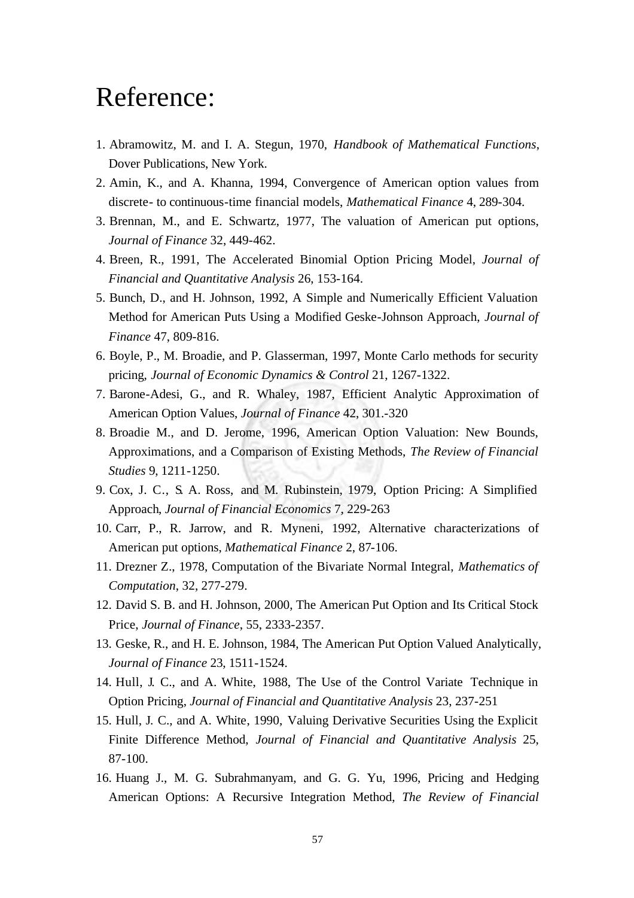## Reference:

- 1. Abramowitz, M. and I. A. Stegun, 1970, *Handbook of Mathematical Functions*, Dover Publications, New York.
- 2. Amin, K., and A. Khanna, 1994, Convergence of American option values from discrete- to continuous-time financial models, *Mathematical Finance* 4, 289-304.
- 3. Brennan, M., and E. Schwartz, 1977, The valuation of American put options, *Journal of Finance* 32, 449-462.
- 4. Breen, R., 1991, The Accelerated Binomial Option Pricing Model, *Journal of Financial and Quantitative Analysis* 26, 153-164.
- 5. Bunch, D., and H. Johnson, 1992, A Simple and Numerically Efficient Valuation Method for American Puts Using a Modified Geske-Johnson Approach, *Journal of Finance* 47, 809-816.
- 6. Boyle, P., M. Broadie, and P. Glasserman, 1997, Monte Carlo methods for security pricing, *Journal of Economic Dynamics & Control* 21, 1267-1322.
- 7. Barone-Adesi, G., and R. Whaley, 1987, Efficient Analytic Approximation of American Option Values, *Journal of Finance* 42, 301.-320
- 8. Broadie M., and D. Jerome, 1996, American Option Valuation: New Bounds, Approximations, and a Comparison of Existing Methods, *The Review of Financial Studies* 9, 1211-1250.
- 9. Cox, J. C., S. A. Ross, and M. Rubinstein, 1979, Option Pricing: A Simplified Approach, *Journal of Financial Economics* 7, 229-263
- 10. Carr, P., R. Jarrow, and R. Myneni, 1992, Alternative characterizations of American put options, *Mathematical Finance* 2, 87-106.
- 11. Drezner Z., 1978, Computation of the Bivariate Normal Integral, *Mathematics of Computation*, 32, 277-279.
- 12. David S. B. and H. Johnson, 2000, The American Put Option and Its Critical Stock Price, *Journal of Finance*, 55, 2333-2357.
- 13. Geske, R., and H. E. Johnson, 1984, The American Put Option Valued Analytically, *Journal of Finance* 23, 1511-1524.
- 14. Hull, J. C., and A. White, 1988, The Use of the Control Variate Technique in Option Pricing, *Journal of Financial and Quantitative Analysis* 23, 237-251
- 15. Hull, J. C., and A. White, 1990, Valuing Derivative Securities Using the Explicit Finite Difference Method, *Journal of Financial and Quantitative Analysis* 25, 87-100.
- 16. Huang J., M. G. Subrahmanyam, and G. G. Yu, 1996, Pricing and Hedging American Options: A Recursive Integration Method, *The Review of Financial*